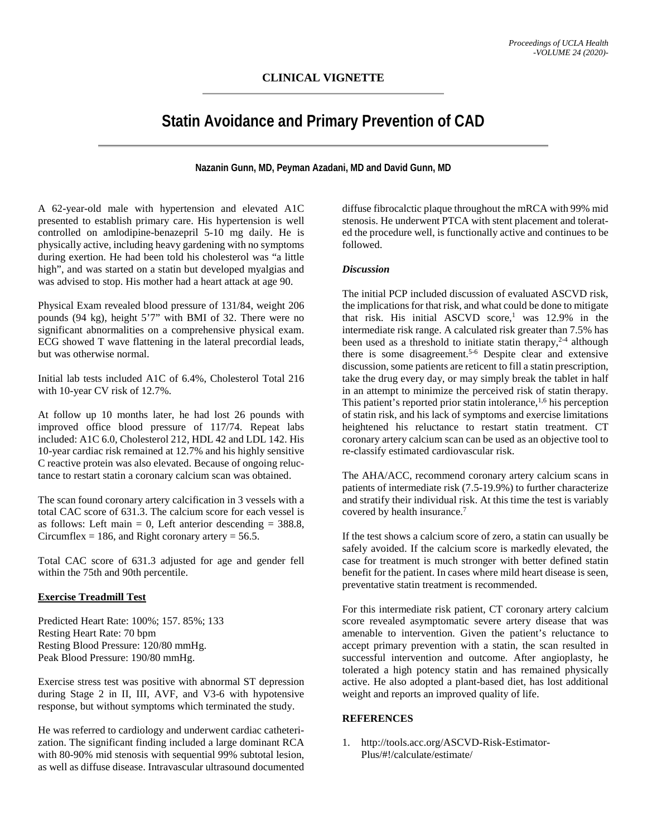## **Statin Avoidance and Primary Prevention of CAD**

**Nazanin Gunn, MD, Peyman Azadani, MD and David Gunn, MD**

A 62-year-old male with hypertension and elevated A1C presented to establish primary care. His hypertension is well controlled on amlodipine-benazepril 5-10 mg daily. He is physically active, including heavy gardening with no symptoms during exertion. He had been told his cholesterol was "a little high", and was started on a statin but developed myalgias and was advised to stop. His mother had a heart attack at age 90.

Physical Exam revealed blood pressure of 131/84, weight 206 pounds (94 kg), height 5'7" with BMI of 32. There were no significant abnormalities on a comprehensive physical exam. ECG showed T wave flattening in the lateral precordial leads, but was otherwise normal.

Initial lab tests included A1C of 6.4%, Cholesterol Total 216 with 10-year CV risk of 12.7%.

At follow up 10 months later, he had lost 26 pounds with improved office blood pressure of 117/74. Repeat labs included: A1C 6.0, Cholesterol 212, HDL 42 and LDL 142. His 10-year cardiac risk remained at 12.7% and his highly sensitive C reactive protein was also elevated. Because of ongoing reluctance to restart statin a coronary calcium scan was obtained.

The scan found coronary artery calcification in 3 vessels with a total CAC score of 631.3. The calcium score for each vessel is as follows: Left main  $= 0$ , Left anterior descending  $= 388.8$ , Circumflex = 186, and Right coronary artery =  $56.5$ .

Total CAC score of 631.3 adjusted for age and gender fell within the 75th and 90th percentile.

## **Exercise Treadmill Test**

Predicted Heart Rate: 100%; 157. 85%; 133 Resting Heart Rate: 70 bpm Resting Blood Pressure: 120/80 mmHg. Peak Blood Pressure: 190/80 mmHg.

Exercise stress test was positive with abnormal ST depression during Stage 2 in II, III, AVF, and V3-6 with hypotensive response, but without symptoms which terminated the study.

He was referred to cardiology and underwent cardiac catheterization. The significant finding included a large dominant RCA with 80-90% mid stenosis with sequential 99% subtotal lesion, as well as diffuse disease. Intravascular ultrasound documented

diffuse fibrocalctic plaque throughout the mRCA with 99% mid stenosis. He underwent PTCA with stent placement and tolerated the procedure well, is functionally active and continues to be followed.

## *Discussion*

The initial PCP included discussion of evaluated ASCVD risk, the implications for that risk, and what could be done to mitigate that risk. His initial ASCVD score,<sup>1</sup> was  $12.9\%$  in the intermediate risk range. A calculated risk greater than 7.5% has been used as a threshold to initiate statin therapy,  $2-4$  although there is some disagreement.<sup>5-6</sup> Despite clear and extensive discussion, some patients are reticent to fill a statin prescription, take the drug every day, or may simply break the tablet in half in an attempt to minimize the perceived risk of statin therapy. This patient's reported prior statin intolerance,<sup>1,6</sup> his perception of statin risk, and his lack of symptoms and exercise limitations heightened his reluctance to restart statin treatment. CT coronary artery calcium scan can be used as an objective tool to re-classify estimated cardiovascular risk.

The AHA/ACC, recommend coronary artery calcium scans in patients of intermediate risk (7.5-19.9%) to further characterize and stratify their individual risk. At this time the test is variably covered by health insurance.7

If the test shows a calcium score of zero, a statin can usually be safely avoided. If the calcium score is markedly elevated, the case for treatment is much stronger with better defined statin benefit for the patient. In cases where mild heart disease is seen, preventative statin treatment is recommended.

For this intermediate risk patient, CT coronary artery calcium score revealed asymptomatic severe artery disease that was amenable to intervention. Given the patient's reluctance to accept primary prevention with a statin, the scan resulted in successful intervention and outcome. After angioplasty, he tolerated a high potency statin and has remained physically active. He also adopted a plant-based diet, has lost additional weight and reports an improved quality of life.

## **REFERENCES**

1. http://tools.acc.org/ASCVD-Risk-Estimator-Plus/#!/calculate/estimate/